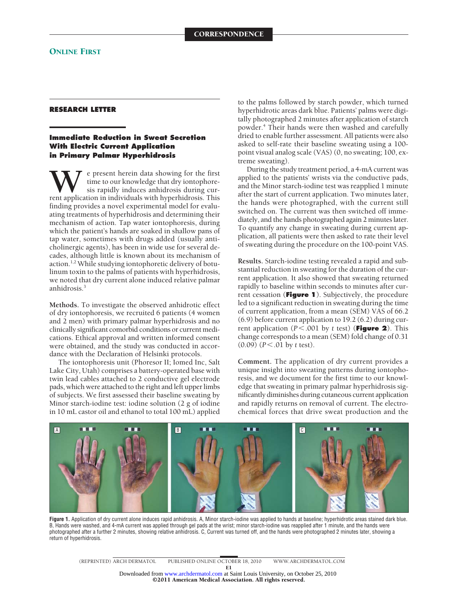## **RESEARCH LETTER**

## **Immediate Reduction in Sweat Secretion With Electric Current Application in Primary Palmar Hyperhidrosis**

**W**e present herein data showing for the first time to our knowledge that dry iontophoresis rapidly induces anhidrosis during current application in individuals with hyperhidrosis. This time to our knowledge that dry iontophoresis rapidly induces anhidrosis during curfinding provides a novel experimental model for evaluating treatments of hyperhidrosis and determining their mechanism of action. Tap water iontophoresis, during which the patient's hands are soaked in shallow pans of tap water, sometimes with drugs added (usually anticholinergic agents), has been in wide use for several decades, although little is known about its mechanism of action.<sup>1,2</sup> While studying iontophoretic delivery of botulinum toxin to the palms of patients with hyperhidrosis, we noted that dry current alone induced relative palmar anhidrosis.3

**Methods.** To investigate the observed anhidrotic effect of dry iontophoresis, we recruited 6 patients (4 women and 2 men) with primary palmar hyperhidrosis and no clinically significant comorbid conditions or current medications. Ethical approval and written informed consent were obtained, and the study was conducted in accordance with the Declaration of Helsinki protocols.

The iontophoresis unit (Phoresor II; Iomed Inc, Salt Lake City, Utah) comprises a battery-operated base with twin lead cables attached to 2 conductive gel electrode pads, which were attached to the right and left upper limbs of subjects. We first assessed their baseline sweating by Minor starch-iodine test: iodine solution (2 g of iodine in 10 mL castor oil and ethanol to total 100 mL) applied

to the palms followed by starch powder, which turned hyperhidrotic areas dark blue. Patients' palms were digitally photographed 2 minutes after application of starch powder.4 Their hands were then washed and carefully dried to enable further assessment. All patients were also asked to self-rate their baseline sweating using a 100 point visual analog scale (VAS) (0, no sweating; 100, extreme sweating).

During the study treatment period, a 4-mA current was applied to the patients' wrists via the conductive pads, and the Minor starch-iodine test was reapplied 1 minute after the start of current application. Two minutes later, the hands were photographed, with the current still switched on. The current was then switched off immediately, and the hands photographed again 2 minutes later. To quantify any change in sweating during current application, all patients were then asked to rate their level of sweating during the procedure on the 100-point VAS.

**Results.** Starch-iodine testing revealed a rapid and substantial reduction in sweating for the duration of the current application. It also showed that sweating returned rapidly to baseline within seconds to minutes after current cessation (**Figure 1**). Subjectively, the procedure led to a significant reduction in sweating during the time of current application, from a mean (SEM) VAS of 66.2 (6.9) before current application to 19.2 (6.2) during current application (*P*-.001 by *t* test) (**Figure 2**). This change corresponds to a mean (SEM) fold change of 0.31 (0.09) (*P*-.01 by *t* test).

**Comment.** The application of dry current provides a unique insight into sweating patterns during iontophoresis, and we document for the first time to our knowledge that sweating in primary palmar hyperhidrosis significantly diminishes during cutaneous current application and rapidly returns on removal of current. The electrochemical forces that drive sweat production and the



**Figure 1.** Application of dry current alone induces rapid anhidrosis. A, Minor starch-iodine was applied to hands at baseline; hyperhidrotic areas stained dark blue. B, Hands were washed, and 4-mA current was applied through gel pads at the wrist; minor starch-iodine was reapplied after 1 minute, and the hands were photographed after a further 2 minutes, showing relative anhidrosis. C, Current was turned off, and the hands were photographed 2 minutes later, showing a return of hyperhidrosis.